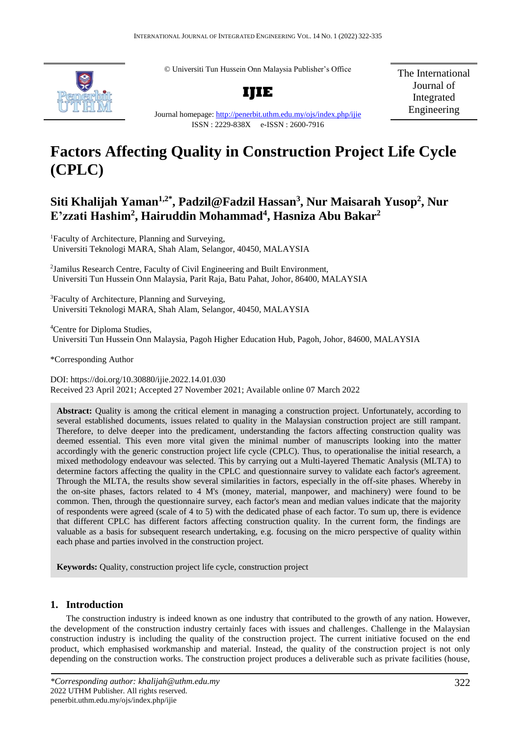© Universiti Tun Hussein Onn Malaysia Publisher's Office



**IJIE**

The International Journal of Integrated Engineering

Journal homepage:<http://penerbit.uthm.edu.my/ojs/index.php/ijie> ISSN : 2229-838X e-ISSN : 2600-7916

# **Factors Affecting Quality in Construction Project Life Cycle (CPLC)**

## **Siti Khalijah Yaman1,2\*, Padzil@Fadzil Hassan<sup>3</sup> , Nur Maisarah Yusop<sup>2</sup> , Nur E'zzati Hashim<sup>2</sup> , Hairuddin Mohammad<sup>4</sup> , Hasniza Abu Bakar<sup>2</sup>**

<sup>1</sup>Faculty of Architecture, Planning and Surveying, Universiti Teknologi MARA, Shah Alam, Selangor, 40450, MALAYSIA

2 Jamilus Research Centre, Faculty of Civil Engineering and Built Environment, Universiti Tun Hussein Onn Malaysia, Parit Raja, Batu Pahat, Johor, 86400, MALAYSIA

<sup>3</sup>Faculty of Architecture, Planning and Surveying, Universiti Teknologi MARA, Shah Alam, Selangor, 40450, MALAYSIA

<sup>4</sup>Centre for Diploma Studies, Universiti Tun Hussein Onn Malaysia, Pagoh Higher Education Hub, Pagoh, Johor, 84600, MALAYSIA

\*Corresponding Author

DOI: https://doi.org/10.30880/ijie.2022.14.01.030 Received 23 April 2021; Accepted 27 November 2021; Available online 07 March 2022

**Abstract:** Quality is among the critical element in managing a construction project. Unfortunately, according to several established documents, issues related to quality in the Malaysian construction project are still rampant. Therefore, to delve deeper into the predicament, understanding the factors affecting construction quality was deemed essential. This even more vital given the minimal number of manuscripts looking into the matter accordingly with the generic construction project life cycle (CPLC). Thus, to operationalise the initial research, a mixed methodology endeavour was selected. This by carrying out a Multi-layered Thematic Analysis (MLTA) to determine factors affecting the quality in the CPLC and questionnaire survey to validate each factor's agreement. Through the MLTA, the results show several similarities in factors, especially in the off-site phases. Whereby in the on-site phases, factors related to 4 M's (money, material, manpower, and machinery) were found to be common. Then, through the questionnaire survey, each factor's mean and median values indicate that the majority of respondents were agreed (scale of 4 to 5) with the dedicated phase of each factor. To sum up, there is evidence that different CPLC has different factors affecting construction quality. In the current form, the findings are valuable as a basis for subsequent research undertaking, e.g. focusing on the micro perspective of quality within each phase and parties involved in the construction project.

**Keywords:** Quality, construction project life cycle, construction project

## **1. Introduction**

The construction industry is indeed known as one industry that contributed to the growth of any nation. However, the development of the construction industry certainly faces with issues and challenges. Challenge in the Malaysian construction industry is including the quality of the construction project. The current initiative focused on the end product, which emphasised workmanship and material. Instead, the quality of the construction project is not only depending on the construction works. The construction project produces a deliverable such as private facilities (house,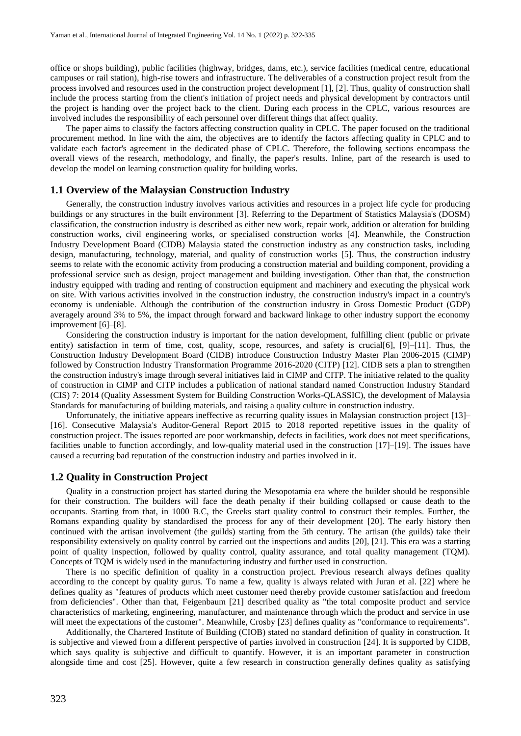office or shops building), public facilities (highway, bridges, dams, etc.), service facilities (medical centre, educational campuses or rail station), high-rise towers and infrastructure. The deliverables of a construction project result from the process involved and resources used in the construction project development [1], [2]. Thus, quality of construction shall include the process starting from the client's initiation of project needs and physical development by contractors until the project is handing over the project back to the client. During each process in the CPLC, various resources are involved includes the responsibility of each personnel over different things that affect quality.

The paper aims to classify the factors affecting construction quality in CPLC. The paper focused on the traditional procurement method. In line with the aim, the objectives are to identify the factors affecting quality in CPLC and to validate each factor's agreement in the dedicated phase of CPLC. Therefore, the following sections encompass the overall views of the research, methodology, and finally, the paper's results. Inline, part of the research is used to develop the model on learning construction quality for building works.

#### **1.1 Overview of the Malaysian Construction Industry**

Generally, the construction industry involves various activities and resources in a project life cycle for producing buildings or any structures in the built environment [3]. Referring to the Department of Statistics Malaysia's (DOSM) classification, the construction industry is described as either new work, repair work, addition or alteration for building construction works, civil engineering works, or specialised construction works [4]. Meanwhile, the Construction Industry Development Board (CIDB) Malaysia stated the construction industry as any construction tasks, including design, manufacturing, technology, material, and quality of construction works [5]. Thus, the construction industry seems to relate with the economic activity from producing a construction material and building component, providing a professional service such as design, project management and building investigation. Other than that, the construction industry equipped with trading and renting of construction equipment and machinery and executing the physical work on site. With various activities involved in the construction industry, the construction industry's impact in a country's economy is undeniable. Although the contribution of the construction industry in Gross Domestic Product (GDP) averagely around 3% to 5%, the impact through forward and backward linkage to other industry support the economy improvement [6]–[8].

Considering the construction industry is important for the nation development, fulfilling client (public or private entity) satisfaction in term of time, cost, quality, scope, resources, and safety is crucial[6], [9]–[11]. Thus, the Construction Industry Development Board (CIDB) introduce Construction Industry Master Plan 2006-2015 (CIMP) followed by Construction Industry Transformation Programme 2016-2020 (CITP) [12]. CIDB sets a plan to strengthen the construction industry's image through several initiatives laid in CIMP and CITP. The initiative related to the quality of construction in CIMP and CITP includes a publication of national standard named Construction Industry Standard (CIS) 7: 2014 (Quality Assessment System for Building Construction Works-QLASSIC), the development of Malaysia Standards for manufacturing of building materials, and raising a quality culture in construction industry.

Unfortunately, the initiative appears ineffective as recurring quality issues in Malaysian construction project [13]– [16]. Consecutive Malaysia's Auditor-General Report 2015 to 2018 reported repetitive issues in the quality of construction project. The issues reported are poor workmanship, defects in facilities, work does not meet specifications, facilities unable to function accordingly, and low-quality material used in the construction [17]–[19]. The issues have caused a recurring bad reputation of the construction industry and parties involved in it.

#### **1.2 Quality in Construction Project**

Quality in a construction project has started during the Mesopotamia era where the builder should be responsible for their construction. The builders will face the death penalty if their building collapsed or cause death to the occupants. Starting from that, in 1000 B.C, the Greeks start quality control to construct their temples. Further, the Romans expanding quality by standardised the process for any of their development [20]. The early history then continued with the artisan involvement (the guilds) starting from the 5th century. The artisan (the guilds) take their responsibility extensively on quality control by carried out the inspections and audits [20], [21]. This era was a starting point of quality inspection, followed by quality control, quality assurance, and total quality management (TQM). Concepts of TQM is widely used in the manufacturing industry and further used in construction.

There is no specific definition of quality in a construction project. Previous research always defines quality according to the concept by quality gurus. To name a few, quality is always related with Juran et al. [22] where he defines quality as "features of products which meet customer need thereby provide customer satisfaction and freedom from deficiencies". Other than that, Feigenbaum [21] described quality as "the total composite product and service characteristics of marketing, engineering, manufacturer, and maintenance through which the product and service in use will meet the expectations of the customer". Meanwhile, Crosby [23] defines quality as "conformance to requirements".

Additionally, the Chartered Institute of Building (CIOB) stated no standard definition of quality in construction. It is subjective and viewed from a different perspective of parties involved in construction [24]. It is supported by CIDB, which says quality is subjective and difficult to quantify. However, it is an important parameter in construction alongside time and cost [25]. However, quite a few research in construction generally defines quality as satisfying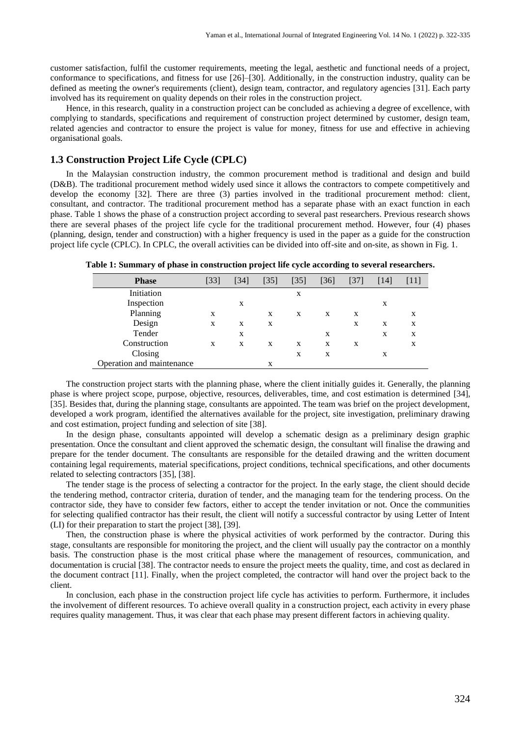customer satisfaction, fulfil the customer requirements, meeting the legal, aesthetic and functional needs of a project, conformance to specifications, and fitness for use [26]–[30]. Additionally, in the construction industry, quality can be defined as meeting the owner's requirements (client), design team, contractor, and regulatory agencies [31]. Each party involved has its requirement on quality depends on their roles in the construction project.

Hence, in this research, quality in a construction project can be concluded as achieving a degree of excellence, with complying to standards, specifications and requirement of construction project determined by customer, design team, related agencies and contractor to ensure the project is value for money, fitness for use and effective in achieving organisational goals.

## **1.3 Construction Project Life Cycle (CPLC)**

In the Malaysian construction industry, the common procurement method is traditional and design and build (D&B). The traditional procurement method widely used since it allows the contractors to compete competitively and develop the economy [32]. There are three (3) parties involved in the traditional procurement method: client, consultant, and contractor. The traditional procurement method has a separate phase with an exact function in each phase. Table 1 shows the phase of a construction project according to several past researchers. Previous research shows there are several phases of the project life cycle for the traditional procurement method. However, four (4) phases (planning, design, tender and construction) with a higher frequency is used in the paper as a guide for the construction project life cycle (CPLC). In CPLC, the overall activities can be divided into off-site and on-site, as shown in Fig. 1.

| <b>Phase</b>              | [33] | [34] | [35] | $\left[35\right]$ | [36] | $[37]$ | [14] | [11] |
|---------------------------|------|------|------|-------------------|------|--------|------|------|
| Initiation                |      |      |      | X                 |      |        |      |      |
| Inspection                |      | X    |      |                   |      |        | X    |      |
| Planning                  | X    |      | X    | X                 | X    | X      |      | X    |
| Design                    | X    | X    | X    |                   |      | X      | X    | X    |
| Tender                    |      | X    |      |                   | X    |        | X    | X    |
| Construction              | X    | X    | X    | X                 | X    | X      |      | X    |
| Closing                   |      |      |      | X                 | X    |        | X    |      |
| Operation and maintenance |      |      | X    |                   |      |        |      |      |

**Table 1: Summary of phase in construction project life cycle according to several researchers.**

The construction project starts with the planning phase, where the client initially guides it. Generally, the planning phase is where project scope, purpose, objective, resources, deliverables, time, and cost estimation is determined [34], [35]. Besides that, during the planning stage, consultants are appointed. The team was brief on the project development, developed a work program, identified the alternatives available for the project, site investigation, preliminary drawing and cost estimation, project funding and selection of site [38].

In the design phase, consultants appointed will develop a schematic design as a preliminary design graphic presentation. Once the consultant and client approved the schematic design, the consultant will finalise the drawing and prepare for the tender document. The consultants are responsible for the detailed drawing and the written document containing legal requirements, material specifications, project conditions, technical specifications, and other documents related to selecting contractors [35], [38].

The tender stage is the process of selecting a contractor for the project. In the early stage, the client should decide the tendering method, contractor criteria, duration of tender, and the managing team for the tendering process. On the contractor side, they have to consider few factors, either to accept the tender invitation or not. Once the communities for selecting qualified contractor has their result, the client will notify a successful contractor by using Letter of Intent (LI) for their preparation to start the project [38], [39].

Then, the construction phase is where the physical activities of work performed by the contractor. During this stage, consultants are responsible for monitoring the project, and the client will usually pay the contractor on a monthly basis. The construction phase is the most critical phase where the management of resources, communication, and documentation is crucial [38]. The contractor needs to ensure the project meets the quality, time, and cost as declared in the document contract [11]. Finally, when the project completed, the contractor will hand over the project back to the client.

In conclusion, each phase in the construction project life cycle has activities to perform. Furthermore, it includes the involvement of different resources. To achieve overall quality in a construction project, each activity in every phase requires quality management. Thus, it was clear that each phase may present different factors in achieving quality.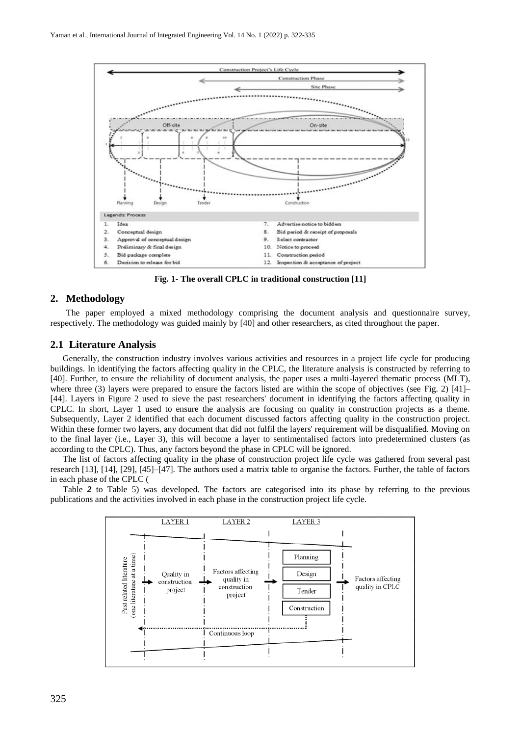

**Fig. 1- The overall CPLC in traditional construction [11]**

#### **2. Methodology**

The paper employed a mixed methodology comprising the document analysis and questionnaire survey, respectively. The methodology was guided mainly by [40] and other researchers, as cited throughout the paper.

#### **2.1 Literature Analysis**

Generally, the construction industry involves various activities and resources in a project life cycle for producing buildings. In identifying the factors affecting quality in the CPLC, the literature analysis is constructed by referring to [40]. Further, to ensure the reliability of document analysis, the paper uses a multi-layered thematic process (MLT), where three (3) layers were prepared to ensure the factors listed are within the scope of objectives (see Fig. 2)  $[41]$ – [44]. Layers in Figure 2 used to sieve the past researchers' document in identifying the factors affecting quality in CPLC. In short, Layer 1 used to ensure the analysis are focusing on quality in construction projects as a theme. Subsequently, Layer 2 identified that each document discussed factors affecting quality in the construction project. Within these former two layers, any document that did not fulfil the layers' requirement will be disqualified. Moving on to the final layer (i.e., Layer 3), this will become a layer to sentimentalised factors into predetermined clusters (as according to the CPLC). Thus, any factors beyond the phase in CPLC will be ignored.

The list of factors affecting quality in the phase of construction project life cycle was gathered from several past research [13], [14], [29], [45]–[47]. The authors used a matrix table to organise the factors. Further, the table of factors in each phase of the CPLC (

Table *2* to Table 5) was developed. The factors are categorised into its phase by referring to the previous publications and the activities involved in each phase in the construction project life cycle.

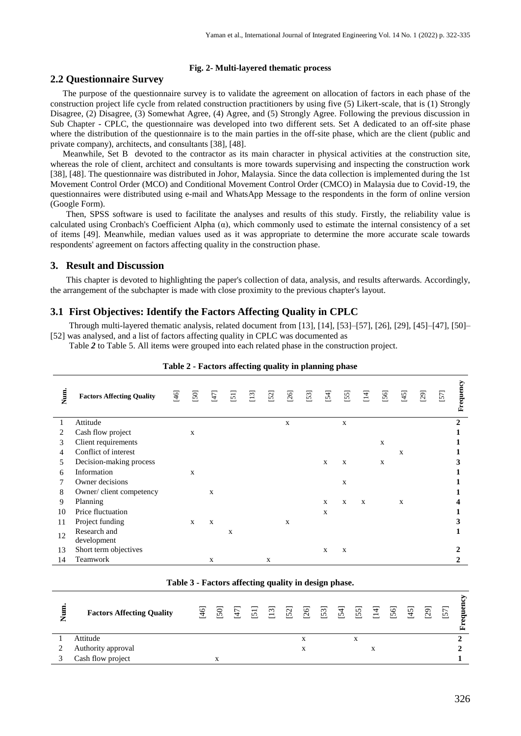#### **Fig. 2- Multi-layered thematic process**

## **2.2 Questionnaire Survey**

The purpose of the questionnaire survey is to validate the agreement on allocation of factors in each phase of the construction project life cycle from related construction practitioners by using five (5) Likert-scale, that is (1) Strongly Disagree, (2) Disagree, (3) Somewhat Agree, (4) Agree, and (5) Strongly Agree. Following the previous discussion in Sub Chapter - CPLC, the questionnaire was developed into two different sets. Set A dedicated to an off-site phase where the distribution of the questionnaire is to the main parties in the off-site phase, which are the client (public and private company), architects, and consultants [38], [48].

Meanwhile, Set B devoted to the contractor as its main character in physical activities at the construction site, whereas the role of client, architect and consultants is more towards supervising and inspecting the construction work [38], [48]. The questionnaire was distributed in Johor, Malaysia. Since the data collection is implemented during the 1st Movement Control Order (MCO) and Conditional Movement Control Order (CMCO) in Malaysia due to Covid-19, the questionnaires were distributed using e-mail and WhatsApp Message to the respondents in the form of online version (Google Form).

Then, SPSS software is used to facilitate the analyses and results of this study. Firstly, the reliability value is calculated using Cronbach's Coefficient Alpha  $(\alpha)$ , which commonly used to estimate the internal consistency of a set of items [49]. Meanwhile, median values used as it was appropriate to determine the more accurate scale towards respondents' agreement on factors affecting quality in the construction phase.

## **3. Result and Discussion**

This chapter is devoted to highlighting the paper's collection of data, analysis, and results afterwards. Accordingly, the arrangement of the subchapter is made with close proximity to the previous chapter's layout.

## **3.1 First Objectives: Identify the Factors Affecting Quality in CPLC**

Through multi-layered thematic analysis, related document from [13], [14], [53]–[57], [26], [29], [45]–[47], [50]– [52] was analysed, and a list of factors affecting quality in CPLC was documented as

Table *2* to Table 5. All items were grouped into each related phase in the construction project.

| Num. | <b>Factors Affecting Quality</b> | $[46]$ | $[50]$ | $\overline{47}$ | $\overline{51}$ | $[13]$ | $[52]$ | $[26]$ | $[53]$ | $[54]$      | $[55]$ | [14] | $[56]$       | $[45]$ | [29] | [57] | Frequency   |
|------|----------------------------------|--------|--------|-----------------|-----------------|--------|--------|--------|--------|-------------|--------|------|--------------|--------|------|------|-------------|
|      | Attitude                         |        |        |                 |                 |        |        | X      |        |             | X      |      |              |        |      |      | 2           |
|      | Cash flow project                |        | X      |                 |                 |        |        |        |        |             |        |      |              |        |      |      |             |
| 3    | Client requirements              |        |        |                 |                 |        |        |        |        |             |        |      | $\mathbf{x}$ |        |      |      |             |
| 4    | Conflict of interest             |        |        |                 |                 |        |        |        |        |             |        |      |              | X      |      |      |             |
| 5.   | Decision-making process          |        |        |                 |                 |        |        |        |        | $\mathbf X$ | X      |      | X            |        |      |      | 3           |
| 6    | Information                      |        | X      |                 |                 |        |        |        |        |             |        |      |              |        |      |      |             |
|      | Owner decisions                  |        |        |                 |                 |        |        |        |        |             | X      |      |              |        |      |      |             |
| 8    | Owner/client competency          |        |        | X               |                 |        |        |        |        |             |        |      |              |        |      |      |             |
| 9    | Planning                         |        |        |                 |                 |        |        |        |        | X           | X      | X    |              | X      |      |      | 4           |
| 10   | Price fluctuation                |        |        |                 |                 |        |        |        |        | $\mathbf X$ |        |      |              |        |      |      | 1           |
| 11   | Project funding                  |        | X      | X               |                 |        |        | X      |        |             |        |      |              |        |      |      | 3           |
| 12   | Research and                     |        |        |                 | X               |        |        |        |        |             |        |      |              |        |      |      |             |
|      | development                      |        |        |                 |                 |        |        |        |        |             |        |      |              |        |      |      |             |
| 13   | Short term objectives            |        |        |                 |                 |        |        |        |        | X           | X      |      |              |        |      |      | 2           |
| 14   | Teamwork                         |        |        | X               |                 |        | X      |        |        |             |        |      |              |        |      |      | $\mathbf 2$ |

| Table 2 - Factors affecting quality in planning phase |  |
|-------------------------------------------------------|--|
|-------------------------------------------------------|--|

|   |                                  | Table 5 - Factors affecting quality in design phase. |                               |  |   |  |   |  |  |   |
|---|----------------------------------|------------------------------------------------------|-------------------------------|--|---|--|---|--|--|---|
| Ξ | <b>Factors Affecting Quality</b> |                                                      | E S E E E S S S S E S E S S S |  |   |  |   |  |  | Ē |
|   | Attitude                         |                                                      |                               |  | л |  | X |  |  |   |
|   | Authority approval               |                                                      |                               |  |   |  |   |  |  |   |
|   | Cash flow project                |                                                      |                               |  |   |  |   |  |  |   |

**Table 3 - Factors affecting quality in design phase.**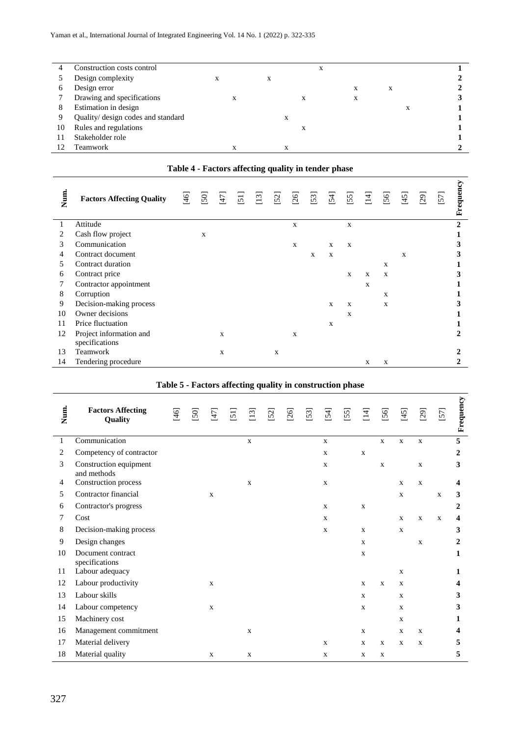| 4  | Construction costs control         |   |   |   |   |   | X |   |   |   |  |
|----|------------------------------------|---|---|---|---|---|---|---|---|---|--|
|    | Design complexity                  | л |   | X |   |   |   |   |   |   |  |
| O  | Design error                       |   |   |   |   |   |   | X | X |   |  |
|    | Drawing and specifications         |   | X |   |   | л |   | X |   |   |  |
| 8  | Estimation in design               |   |   |   |   |   |   |   |   | х |  |
|    | Quality/ design codes and standard |   |   |   | л |   |   |   |   |   |  |
| 10 | Rules and regulations              |   |   |   |   | л |   |   |   |   |  |
|    | Stakeholder role                   |   |   |   |   |   |   |   |   |   |  |
|    | Teamwork                           |   |   |   |   |   |   |   |   |   |  |

## **Table 4 - Factors affecting quality in tender phase**

| Num. | <b>Factors Affecting Quality</b> | $\overline{9}$ | [50] | $\overline{47}$ | $\Xi$ | [13] | 52          | [26]         | [53] | 54           | $[55]$       | $\Xi$ | [56]        | $\overline{5}$ | $^{29}$ | 57 | Frequency    |
|------|----------------------------------|----------------|------|-----------------|-------|------|-------------|--------------|------|--------------|--------------|-------|-------------|----------------|---------|----|--------------|
|      | Attitude                         |                |      |                 |       |      |             | $\mathbf X$  |      |              | X            |       |             |                |         |    | $\mathbf{2}$ |
| 2    | Cash flow project                |                | X    |                 |       |      |             |              |      |              |              |       |             |                |         |    |              |
| 3    | Communication                    |                |      |                 |       |      |             | $\mathbf{X}$ |      | X            | X            |       |             |                |         |    | 3            |
| 4    | Contract document                |                |      |                 |       |      |             |              | X    | $\mathbf X$  |              |       |             | X              |         |    | 3            |
| 5.   | Contract duration                |                |      |                 |       |      |             |              |      |              |              |       | X           |                |         |    |              |
| 6    | Contract price                   |                |      |                 |       |      |             |              |      |              | X            | X     | X           |                |         |    | 3            |
|      | Contractor appointment           |                |      |                 |       |      |             |              |      |              |              | X     |             |                |         |    |              |
| 8    | Corruption                       |                |      |                 |       |      |             |              |      |              |              |       | $\mathbf X$ |                |         |    |              |
| 9    | Decision-making process          |                |      |                 |       |      |             |              |      | $\mathbf{x}$ | $\mathbf{x}$ |       | X           |                |         |    | 3            |
| 10   | Owner decisions                  |                |      |                 |       |      |             |              |      |              | X            |       |             |                |         |    |              |
| 11   | Price fluctuation                |                |      |                 |       |      |             |              |      | X            |              |       |             |                |         |    |              |
| 12   | Project information and          |                |      | X               |       |      |             | X            |      |              |              |       |             |                |         |    | 2            |
|      | specifications                   |                |      |                 |       |      |             |              |      |              |              |       |             |                |         |    |              |
| 13   | Teamwork                         |                |      | X               |       |      | $\mathbf X$ |              |      |              |              |       |             |                |         |    | $\mathbf{2}$ |
| 14   | Tendering procedure              |                |      |                 |       |      |             |              |      |              |              | X     | X           |                |         |    |              |

## **Table 5 - Factors affecting quality in construction phase**

| Num. | <b>Factors Affecting</b><br>Quality   | $[46]$ | [50] | $\overline{47}$ | $\overline{5}$ | $\Xi$       | [52] | [26] | $[53]$ | $[54]$       | [55] | $\overline{14}$ | $[56]$       | [45]         | [29]        | 57           | Frequency |
|------|---------------------------------------|--------|------|-----------------|----------------|-------------|------|------|--------|--------------|------|-----------------|--------------|--------------|-------------|--------------|-----------|
| 1    | Communication                         |        |      |                 |                | $\mathbf X$ |      |      |        | $\mathbf X$  |      |                 | $\mathbf X$  | $\mathbf X$  | $\mathbf X$ |              | 5         |
| 2    | Competency of contractor              |        |      |                 |                |             |      |      |        | $\mathbf x$  |      | $\mathbf X$     |              |              |             |              | 2         |
| 3    | Construction equipment<br>and methods |        |      |                 |                |             |      |      |        | X            |      |                 | $\mathbf X$  |              | $\mathbf X$ |              | 3         |
| 4    | Construction process                  |        |      |                 |                | $\mathbf X$ |      |      |        | $\mathbf X$  |      |                 |              | $\mathbf x$  | $\mathbf X$ |              | 4         |
| 5    | Contractor financial                  |        |      | $\mathbf{X}$    |                |             |      |      |        |              |      |                 |              | $\mathbf x$  |             | $\mathbf x$  | 3         |
| 6    | Contractor's progress                 |        |      |                 |                |             |      |      |        | $\mathbf{x}$ |      | $\mathbf x$     |              |              |             |              | 2         |
| 7    | Cost                                  |        |      |                 |                |             |      |      |        | X            |      |                 |              | $\mathbf x$  | $\mathbf X$ | $\mathbf{x}$ | 4         |
| 8    | Decision-making process               |        |      |                 |                |             |      |      |        | $\mathbf{x}$ |      | $\mathbf{X}$    |              | $\mathbf x$  |             |              | 3         |
| 9    | Design changes                        |        |      |                 |                |             |      |      |        |              |      | $\mathbf{X}$    |              |              | $\mathbf X$ |              | 2         |
| 10   | Document contract<br>specifications   |        |      |                 |                |             |      |      |        |              |      | $\mathbf{X}$    |              |              |             |              | 1         |
| 11   | Labour adequacy                       |        |      |                 |                |             |      |      |        |              |      |                 |              | $\mathbf x$  |             |              | 1         |
| 12   | Labour productivity                   |        |      | $\mathbf X$     |                |             |      |      |        |              |      | X               | X            | $\mathbf x$  |             |              | 4         |
| 13   | Labour skills                         |        |      |                 |                |             |      |      |        |              |      | $\mathbf X$     |              | $\mathbf X$  |             |              | 3         |
| 14   | Labour competency                     |        |      | $\mathbf X$     |                |             |      |      |        |              |      | $\mathbf{X}$    |              | $\mathbf x$  |             |              | 3         |
| 15   | Machinery cost                        |        |      |                 |                |             |      |      |        |              |      |                 |              | $\mathbf X$  |             |              | 1         |
| 16   | Management commitment                 |        |      |                 |                | $\mathbf X$ |      |      |        |              |      | $\mathbf x$     |              | $\mathbf x$  | $\mathbf X$ |              | 4         |
| 17   | Material delivery                     |        |      |                 |                |             |      |      |        | X            |      | $\mathbf X$     | $\mathbf{X}$ | $\mathbf{x}$ | $\mathbf X$ |              | 5         |
| 18   | Material quality                      |        |      | $\mathbf X$     |                | $\mathbf X$ |      |      |        | X            |      | X               | X            |              |             |              | 5         |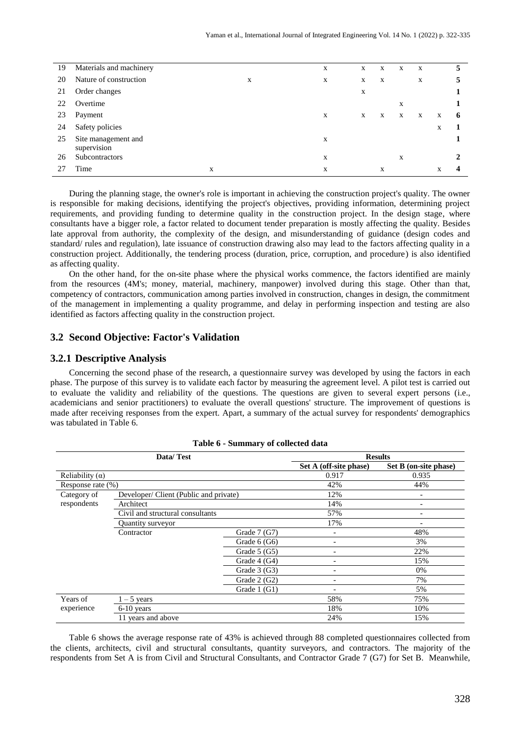| 19 | Materials and machinery |   | X | X | X | X | X |   | 5 |
|----|-------------------------|---|---|---|---|---|---|---|---|
| 20 | Nature of construction  | X | X | X | X |   | X |   |   |
| 21 | Order changes           |   |   | X |   |   |   |   |   |
| 22 | Overtime                |   |   |   |   | X |   |   |   |
| 23 | Payment                 |   | X | X | X | X | X | X | 6 |
| 24 | Safety policies         |   |   |   |   |   |   | X |   |
| 25 | Site management and     |   | X |   |   |   |   |   |   |
|    | supervision             |   |   |   |   |   |   |   |   |
| 26 | Subcontractors          |   | X |   |   | X |   |   |   |
|    | Time                    | X | X |   | X |   |   | X |   |
|    |                         |   |   |   |   |   |   |   |   |

During the planning stage, the owner's role is important in achieving the construction project's quality. The owner is responsible for making decisions, identifying the project's objectives, providing information, determining project requirements, and providing funding to determine quality in the construction project. In the design stage, where consultants have a bigger role, a factor related to document tender preparation is mostly affecting the quality. Besides late approval from authority, the complexity of the design, and misunderstanding of guidance (design codes and standard/ rules and regulation), late issuance of construction drawing also may lead to the factors affecting quality in a construction project. Additionally, the tendering process (duration, price, corruption, and procedure) is also identified as affecting quality.

On the other hand, for the on-site phase where the physical works commence, the factors identified are mainly from the resources (4M's; money, material, machinery, manpower) involved during this stage. Other than that, competency of contractors, communication among parties involved in construction, changes in design, the commitment of the management in implementing a quality programme, and delay in performing inspection and testing are also identified as factors affecting quality in the construction project.

## **3.2 Second Objective: Factor's Validation**

## **3.2.1 Descriptive Analysis**

Concerning the second phase of the research, a questionnaire survey was developed by using the factors in each phase. The purpose of this survey is to validate each factor by measuring the agreement level. A pilot test is carried out to evaluate the validity and reliability of the questions. The questions are given to several expert persons (i.e., academicians and senior practitioners) to evaluate the overall questions' structure. The improvement of questions is made after receiving responses from the expert. Apart, a summary of the actual survey for respondents' demographics was tabulated in Table 6.

|                        | Data/Test                             |               |                          | <b>Results</b>           |
|------------------------|---------------------------------------|---------------|--------------------------|--------------------------|
|                        |                                       |               | Set A (off-site phase)   | Set B (on-site phase)    |
| Reliability $(\alpha)$ |                                       |               | 0.917                    | 0.935                    |
| Response rate (%)      |                                       |               | 42%                      | 44%                      |
| Category of            | Developer/Client (Public and private) |               | 12%                      | $\overline{\phantom{a}}$ |
| respondents            | Architect                             |               | 14%                      |                          |
|                        | Civil and structural consultants      |               | 57%                      |                          |
|                        | Quantity surveyor                     |               | 17%                      |                          |
|                        | Contractor                            | Grade $7(G7)$ | $\overline{\phantom{a}}$ | 48%                      |
|                        |                                       | Grade $6(G6)$ |                          | 3%                       |
|                        |                                       | Grade $5(G5)$ | -                        | 22%                      |
|                        |                                       | Grade $4(G4)$ | $\overline{\phantom{0}}$ | 15%                      |
|                        |                                       | Grade $3(G3)$ | $\overline{\phantom{0}}$ | 0%                       |
|                        |                                       | Grade $2(G2)$ | $\overline{\phantom{0}}$ | 7%                       |
|                        |                                       | Grade $1(G1)$ |                          | 5%                       |
| Years of               | $1 - 5$ years                         |               | 58%                      | 75%                      |
| experience             | $6-10$ years                          |               | 18%                      | 10%                      |
|                        | 11 years and above                    |               | 24%                      | 15%                      |

#### **Table 6 - Summary of collected data**

Table 6 shows the average response rate of 43% is achieved through 88 completed questionnaires collected from the clients, architects, civil and structural consultants, quantity surveyors, and contractors. The majority of the respondents from Set A is from Civil and Structural Consultants, and Contractor Grade 7 (G7) for Set B. Meanwhile,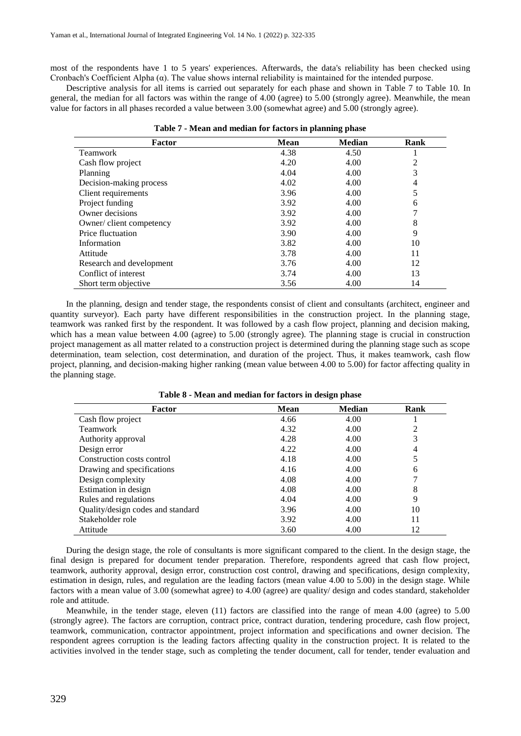most of the respondents have 1 to 5 years' experiences. Afterwards, the data's reliability has been checked using Cronbach's Coefficient Alpha (α). The value shows internal reliability is maintained for the intended purpose.

Descriptive analysis for all items is carried out separately for each phase and shown in Table 7 to Table 10*.* In general, the median for all factors was within the range of 4.00 (agree) to 5.00 (strongly agree). Meanwhile, the mean value for factors in all phases recorded a value between 3.00 (somewhat agree) and 5.00 (strongly agree).

| Table 7 - Mean and median for factors in planning phase |             |               |      |  |  |  |  |  |  |
|---------------------------------------------------------|-------------|---------------|------|--|--|--|--|--|--|
| Factor                                                  | <b>Mean</b> | <b>Median</b> | Rank |  |  |  |  |  |  |
| Teamwork                                                | 4.38        | 4.50          |      |  |  |  |  |  |  |
| Cash flow project                                       | 4.20        | 4.00          | 2    |  |  |  |  |  |  |
| Planning                                                | 4.04        | 4.00          | 3    |  |  |  |  |  |  |
| Decision-making process                                 | 4.02        | 4.00          | 4    |  |  |  |  |  |  |
| Client requirements                                     | 3.96        | 4.00          | 5    |  |  |  |  |  |  |
| Project funding                                         | 3.92        | 4.00          | 6    |  |  |  |  |  |  |
| Owner decisions                                         | 3.92        | 4.00          | 7    |  |  |  |  |  |  |
| Owner/client competency                                 | 3.92        | 4.00          | 8    |  |  |  |  |  |  |
| Price fluctuation                                       | 3.90        | 4.00          | 9    |  |  |  |  |  |  |
| Information                                             | 3.82        | 4.00          | 10   |  |  |  |  |  |  |
| Attitude                                                | 3.78        | 4.00          | 11   |  |  |  |  |  |  |
| Research and development                                | 3.76        | 4.00          | 12   |  |  |  |  |  |  |
| Conflict of interest                                    | 3.74        | 4.00          | 13   |  |  |  |  |  |  |
| Short term objective                                    | 3.56        | 4.00          | 14   |  |  |  |  |  |  |

In the planning, design and tender stage, the respondents consist of client and consultants (architect, engineer and quantity surveyor). Each party have different responsibilities in the construction project. In the planning stage, teamwork was ranked first by the respondent. It was followed by a cash flow project, planning and decision making, which has a mean value between 4.00 (agree) to 5.00 (strongly agree). The planning stage is crucial in construction project management as all matter related to a construction project is determined during the planning stage such as scope determination, team selection, cost determination, and duration of the project. Thus, it makes teamwork, cash flow project, planning, and decision-making higher ranking (mean value between 4.00 to 5.00) for factor affecting quality in the planning stage.

| Factor                            | <b>Mean</b> | <b>Median</b> | Rank |
|-----------------------------------|-------------|---------------|------|
| Cash flow project                 | 4.66        | 4.00          |      |
| Teamwork                          | 4.32        | 4.00          | 2    |
| Authority approval                | 4.28        | 4.00          | 3    |
| Design error                      | 4.22        | 4.00          | 4    |
| Construction costs control        | 4.18        | 4.00          | 5    |
| Drawing and specifications        | 4.16        | 4.00          | 6    |
| Design complexity                 | 4.08        | 4.00          |      |
| Estimation in design              | 4.08        | 4.00          | 8    |
| Rules and regulations             | 4.04        | 4.00          | 9    |
| Quality/design codes and standard | 3.96        | 4.00          | 10   |
| Stakeholder role                  | 3.92        | 4.00          | 11   |
| Attitude                          | 3.60        | 4.00          | 12   |

**Table 8 - Mean and median for factors in design phase**

During the design stage, the role of consultants is more significant compared to the client. In the design stage, the final design is prepared for document tender preparation. Therefore, respondents agreed that cash flow project, teamwork, authority approval, design error, construction cost control, drawing and specifications, design complexity, estimation in design, rules, and regulation are the leading factors (mean value 4.00 to 5.00) in the design stage. While factors with a mean value of 3.00 (somewhat agree) to 4.00 (agree) are quality/ design and codes standard, stakeholder role and attitude.

Meanwhile, in the tender stage, eleven (11) factors are classified into the range of mean 4.00 (agree) to 5.00 (strongly agree). The factors are corruption, contract price, contract duration, tendering procedure, cash flow project, teamwork, communication, contractor appointment, project information and specifications and owner decision. The respondent agrees corruption is the leading factors affecting quality in the construction project. It is related to the activities involved in the tender stage, such as completing the tender document, call for tender, tender evaluation and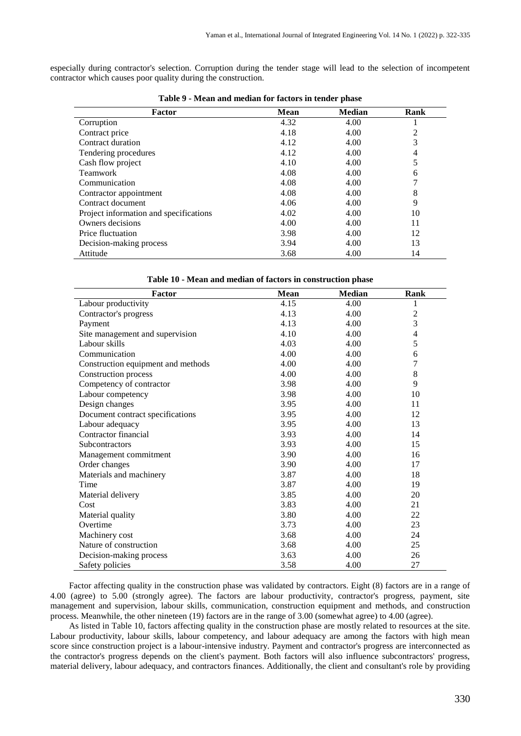especially during contractor's selection. Corruption during the tender stage will lead to the selection of incompetent contractor which causes poor quality during the construction.

| Factor                                 | <b>Mean</b> | <b>Median</b> | Rank |
|----------------------------------------|-------------|---------------|------|
| Corruption                             | 4.32        | 4.00          |      |
| Contract price                         | 4.18        | 4.00          | 2    |
| Contract duration                      | 4.12        | 4.00          | 3    |
| Tendering procedures                   | 4.12        | 4.00          | 4    |
| Cash flow project                      | 4.10        | 4.00          | 5    |
| Teamwork                               | 4.08        | 4.00          | 6    |
| Communication                          | 4.08        | 4.00          | 7    |
| Contractor appointment                 | 4.08        | 4.00          | 8    |
| Contract document                      | 4.06        | 4.00          | 9    |
| Project information and specifications | 4.02        | 4.00          | 10   |
| Owners decisions                       | 4.00        | 4.00          | 11   |
| Price fluctuation                      | 3.98        | 4.00          | 12   |
| Decision-making process                | 3.94        | 4.00          | 13   |
| Attitude                               | 3.68        | 4.00          | 14   |

**Table 9 - Mean and median for factors in tender phase**

| Table 10 - Mean and median of factors in construction phase |  |
|-------------------------------------------------------------|--|
|-------------------------------------------------------------|--|

| Factor                             | <b>Mean</b> | <b>Median</b> | Rank           |
|------------------------------------|-------------|---------------|----------------|
| Labour productivity                | 4.15        | 4.00          | 1              |
| Contractor's progress              | 4.13        | 4.00          | $\overline{2}$ |
| Payment                            | 4.13        | 4.00          | 3              |
| Site management and supervision    | 4.10        | 4.00          | $\overline{4}$ |
| Labour skills                      | 4.03        | 4.00          | 5              |
| Communication                      | 4.00        | 4.00          | 6              |
| Construction equipment and methods | 4.00        | 4.00          | $\overline{7}$ |
| Construction process               | 4.00        | 4.00          | $\,8\,$        |
| Competency of contractor           | 3.98        | 4.00          | 9              |
| Labour competency                  | 3.98        | 4.00          | 10             |
| Design changes                     | 3.95        | 4.00          | 11             |
| Document contract specifications   | 3.95        | 4.00          | 12             |
| Labour adequacy                    | 3.95        | 4.00          | 13             |
| Contractor financial               | 3.93        | 4.00          | 14             |
| <b>Subcontractors</b>              | 3.93        | 4.00          | 15             |
| Management commitment              | 3.90        | 4.00          | 16             |
| Order changes                      | 3.90        | 4.00          | 17             |
| Materials and machinery            | 3.87        | 4.00          | 18             |
| Time                               | 3.87        | 4.00          | 19             |
| Material delivery                  | 3.85        | 4.00          | 20             |
| Cost                               | 3.83        | 4.00          | 21             |
| Material quality                   | 3.80        | 4.00          | 22             |
| Overtime                           | 3.73        | 4.00          | 23             |
| Machinery cost                     | 3.68        | 4.00          | 24             |
| Nature of construction             | 3.68        | 4.00          | 25             |
| Decision-making process            | 3.63        | 4.00          | 26             |
| Safety policies                    | 3.58        | 4.00          | 27             |

Factor affecting quality in the construction phase was validated by contractors. Eight (8) factors are in a range of 4.00 (agree) to 5.00 (strongly agree). The factors are labour productivity, contractor's progress, payment, site management and supervision, labour skills, communication, construction equipment and methods, and construction process. Meanwhile, the other nineteen (19) factors are in the range of 3.00 (somewhat agree) to 4.00 (agree).

As listed in Table 10, factors affecting quality in the construction phase are mostly related to resources at the site. Labour productivity, labour skills, labour competency, and labour adequacy are among the factors with high mean score since construction project is a labour-intensive industry. Payment and contractor's progress are interconnected as the contractor's progress depends on the client's payment. Both factors will also influence subcontractors' progress, material delivery, labour adequacy, and contractors finances. Additionally, the client and consultant's role by providing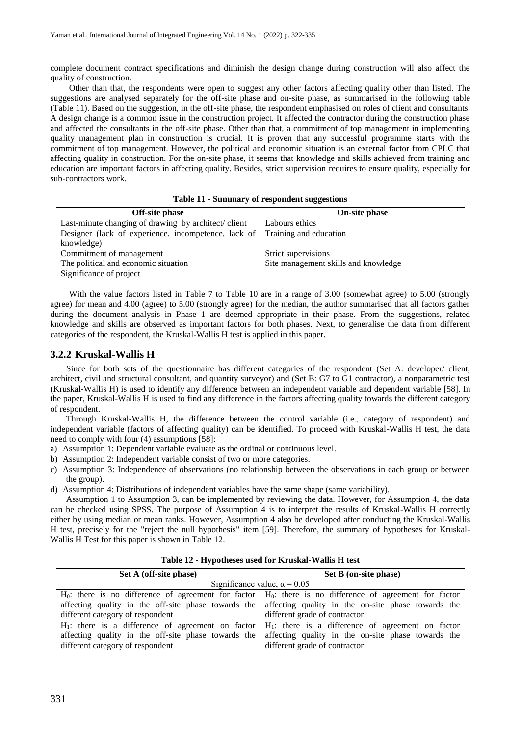complete document contract specifications and diminish the design change during construction will also affect the quality of construction.

Other than that, the respondents were open to suggest any other factors affecting quality other than listed. The suggestions are analysed separately for the off-site phase and on-site phase, as summarised in the following table (Table 11). Based on the suggestion, in the off-site phase, the respondent emphasised on roles of client and consultants. A design change is a common issue in the construction project. It affected the contractor during the construction phase and affected the consultants in the off-site phase. Other than that, a commitment of top management in implementing quality management plan in construction is crucial. It is proven that any successful programme starts with the commitment of top management. However, the political and economic situation is an external factor from CPLC that affecting quality in construction. For the on-site phase, it seems that knowledge and skills achieved from training and education are important factors in affecting quality. Besides, strict supervision requires to ensure quality, especially for sub-contractors work.

| <b>Off-site phase</b>                                                      | <b>On-site phase</b>                 |
|----------------------------------------------------------------------------|--------------------------------------|
| Last-minute changing of drawing by architect/client                        | Labours ethics                       |
| Designer (lack of experience, incompetence, lack of Training and education |                                      |
| knowledge)                                                                 |                                      |
| Commitment of management                                                   | Strict supervisions                  |
| The political and economic situation                                       | Site management skills and knowledge |
| Significance of project                                                    |                                      |

With the value factors listed in Table 7 to Table 10 are in a range of 3.00 (somewhat agree) to 5.00 (strongly agree) for mean and 4.00 (agree) to 5.00 (strongly agree) for the median, the author summarised that all factors gather during the document analysis in Phase 1 are deemed appropriate in their phase. From the suggestions, related knowledge and skills are observed as important factors for both phases. Next, to generalise the data from different categories of the respondent, the Kruskal-Wallis H test is applied in this paper.

## **3.2.2 Kruskal-Wallis H**

Since for both sets of the questionnaire has different categories of the respondent (Set A: developer/ client, architect, civil and structural consultant, and quantity surveyor) and (Set B: G7 to G1 contractor), a nonparametric test (Kruskal-Wallis H) is used to identify any difference between an independent variable and dependent variable [58]. In the paper, Kruskal-Wallis H is used to find any difference in the factors affecting quality towards the different category of respondent.

Through Kruskal-Wallis H, the difference between the control variable (i.e., category of respondent) and independent variable (factors of affecting quality) can be identified. To proceed with Kruskal-Wallis H test, the data need to comply with four (4) assumptions [58]:

- a) Assumption 1: Dependent variable evaluate as the ordinal or continuous level.
- b) Assumption 2: Independent variable consist of two or more categories.
- c) Assumption 3: Independence of observations (no relationship between the observations in each group or between the group).
- d) Assumption 4: Distributions of independent variables have the same shape (same variability).

Assumption 1 to Assumption 3, can be implemented by reviewing the data. However, for Assumption 4, the data can be checked using SPSS. The purpose of Assumption 4 is to interpret the results of Kruskal-Wallis H correctly either by using median or mean ranks. However, Assumption 4 also be developed after conducting the Kruskal-Wallis H test, precisely for the "reject the null hypothesis" item [59]. Therefore, the summary of hypotheses for Kruskal-Wallis H Test for this paper is shown in Table 12.

| Set A (off-site phase)              | Set B (on-site phase)                                                                                         |  |  |
|-------------------------------------|---------------------------------------------------------------------------------------------------------------|--|--|
| Significance value, $\alpha = 0.05$ |                                                                                                               |  |  |
|                                     | $H_0$ : there is no difference of agreement for factor $H_0$ : there is no difference of agreement for factor |  |  |
|                                     | affecting quality in the off-site phase towards the affecting quality in the on-site phase towards the        |  |  |
| different category of respondent    | different grade of contractor                                                                                 |  |  |
|                                     | $H_1$ : there is a difference of agreement on factor $H_1$ : there is a difference of agreement on factor     |  |  |
|                                     | affecting quality in the off-site phase towards the affecting quality in the on-site phase towards the        |  |  |
| different category of respondent    | different grade of contractor                                                                                 |  |  |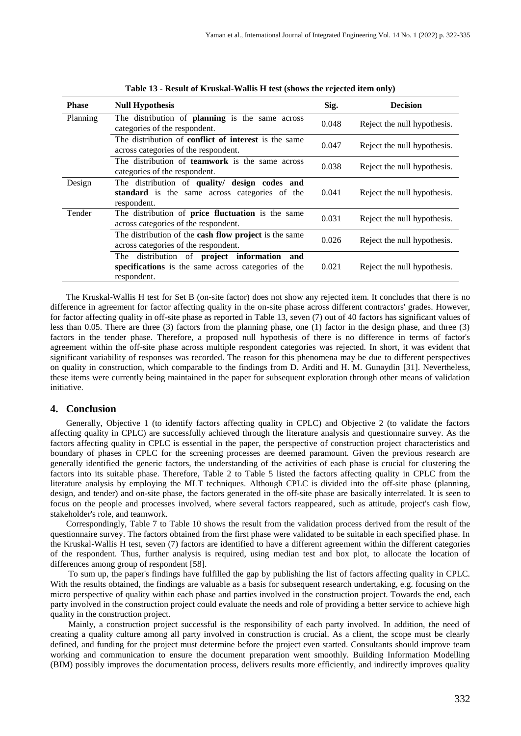| <b>Phase</b> | <b>Null Hypothesis</b>                                                                                                         | Sig.  | <b>Decision</b>             |
|--------------|--------------------------------------------------------------------------------------------------------------------------------|-------|-----------------------------|
| Planning     | The distribution of planning is the same across<br>categories of the respondent.                                               | 0.048 | Reject the null hypothesis. |
|              | The distribution of <b>conflict of interest</b> is the same<br>across categories of the respondent.                            | 0.047 | Reject the null hypothesis. |
|              | The distribution of <b>teamwork</b> is the same across<br>categories of the respondent.                                        | 0.038 | Reject the null hypothesis. |
| Design       | The distribution of quality/ design codes and<br>standard is the same across categories of the<br>respondent.                  | 0.041 | Reject the null hypothesis. |
| Tender       | The distribution of price fluctuation is the same<br>across categories of the respondent.                                      | 0.031 | Reject the null hypothesis. |
|              | The distribution of the cash flow project is the same<br>across categories of the respondent.                                  | 0.026 | Reject the null hypothesis. |
|              | distribution of <b>project</b> information<br>The<br>and<br>specifications is the same across categories of the<br>respondent. | 0.021 | Reject the null hypothesis. |

**Table 13 - Result of Kruskal-Wallis H test (shows the rejected item only)**

The Kruskal-Wallis H test for Set B (on-site factor) does not show any rejected item. It concludes that there is no difference in agreement for factor affecting quality in the on-site phase across different contractors' grades. However, for factor affecting quality in off-site phase as reported in Table 13, seven (7) out of 40 factors has significant values of less than 0.05. There are three (3) factors from the planning phase, one (1) factor in the design phase, and three (3) factors in the tender phase. Therefore, a proposed null hypothesis of there is no difference in terms of factor's agreement within the off-site phase across multiple respondent categories was rejected. In short, it was evident that significant variability of responses was recorded. The reason for this phenomena may be due to different perspectives on quality in construction, which comparable to the findings from D. Arditi and H. M. Gunaydin [31]. Nevertheless, these items were currently being maintained in the paper for subsequent exploration through other means of validation initiative.

## **4. Conclusion**

Generally, Objective 1 (to identify factors affecting quality in CPLC) and Objective 2 (to validate the factors affecting quality in CPLC) are successfully achieved through the literature analysis and questionnaire survey. As the factors affecting quality in CPLC is essential in the paper, the perspective of construction project characteristics and boundary of phases in CPLC for the screening processes are deemed paramount. Given the previous research are generally identified the generic factors, the understanding of the activities of each phase is crucial for clustering the factors into its suitable phase. Therefore, Table 2 to Table 5 listed the factors affecting quality in CPLC from the literature analysis by employing the MLT techniques. Although CPLC is divided into the off-site phase (planning, design, and tender) and on-site phase, the factors generated in the off-site phase are basically interrelated. It is seen to focus on the people and processes involved, where several factors reappeared, such as attitude, project's cash flow, stakeholder's role, and teamwork.

Correspondingly, Table 7 to Table 10 shows the result from the validation process derived from the result of the questionnaire survey. The factors obtained from the first phase were validated to be suitable in each specified phase. In the Kruskal-Wallis H test, seven (7) factors are identified to have a different agreement within the different categories of the respondent. Thus, further analysis is required, using median test and box plot, to allocate the location of differences among group of respondent [58].

To sum up, the paper's findings have fulfilled the gap by publishing the list of factors affecting quality in CPLC. With the results obtained, the findings are valuable as a basis for subsequent research undertaking, e.g. focusing on the micro perspective of quality within each phase and parties involved in the construction project. Towards the end, each party involved in the construction project could evaluate the needs and role of providing a better service to achieve high quality in the construction project.

Mainly, a construction project successful is the responsibility of each party involved. In addition, the need of creating a quality culture among all party involved in construction is crucial. As a client, the scope must be clearly defined, and funding for the project must determine before the project even started. Consultants should improve team working and communication to ensure the document preparation went smoothly. Building Information Modelling (BIM) possibly improves the documentation process, delivers results more efficiently, and indirectly improves quality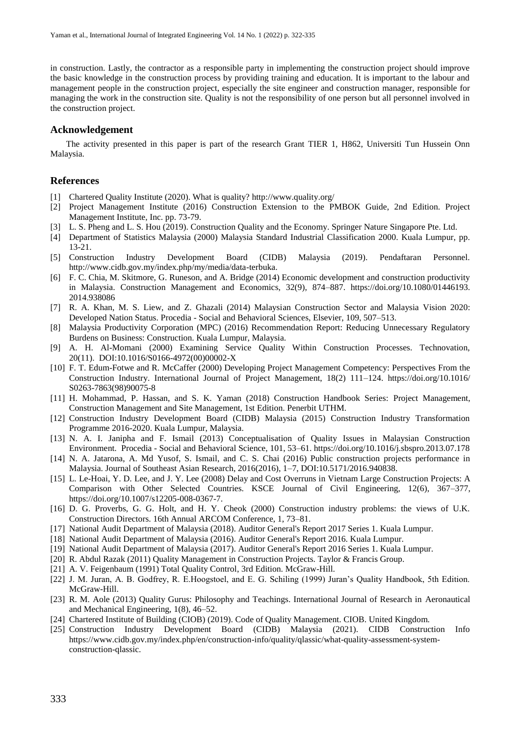in construction. Lastly, the contractor as a responsible party in implementing the construction project should improve the basic knowledge in the construction process by providing training and education. It is important to the labour and management people in the construction project, especially the site engineer and construction manager, responsible for managing the work in the construction site. Quality is not the responsibility of one person but all personnel involved in the construction project.

## **Acknowledgement**

The activity presented in this paper is part of the research Grant TIER 1, H862, Universiti Tun Hussein Onn Malaysia.

## **References**

- [1] Chartered Quality Institute (2020). What is quality? http://www.quality.org/
- [2] Project Management Institute (2016) Construction Extension to the PMBOK Guide, 2nd Edition. Project Management Institute, Inc. pp. 73-79.
- [3] L. S. Pheng and L. S. Hou (2019). Construction Quality and the Economy. Springer Nature Singapore Pte. Ltd.
- [4] Department of Statistics Malaysia (2000) Malaysia Standard Industrial Classification 2000. Kuala Lumpur, pp. 13-21.
- [5] Construction Industry Development Board (CIDB) Malaysia (2019). Pendaftaran Personnel. http://www.cidb.gov.my/index.php/my/media/data-terbuka.
- [6] F. C. Chia, M. Skitmore, G. Runeson, and A. Bridge (2014) Economic development and construction productivity in Malaysia. Construction Management and Economics, 32(9), 874–887. https://doi.org/10.1080/01446193. 2014.938086
- [7] R. A. Khan, M. S. Liew, and Z. Ghazali (2014) Malaysian Construction Sector and Malaysia Vision 2020: Developed Nation Status. Procedia - Social and Behavioral Sciences, Elsevier, 109, 507–513.
- [8] Malaysia Productivity Corporation (MPC) (2016) Recommendation Report: Reducing Unnecessary Regulatory Burdens on Business: Construction. Kuala Lumpur, Malaysia.
- [9] A. H. Al-Momani (2000) Examining Service Quality Within Construction Processes. Technovation, 20(11). DOI:10.1016/S0166-4972(00)00002-X
- [10] F. T. Edum-Fotwe and R. McCaffer (2000) Developing Project Management Competency: Perspectives From the Construction Industry. International Journal of Project Management, 18(2) 111–124. https://doi.org/10.1016/ S0263-7863(98)90075-8
- [11] H. Mohammad, P. Hassan, and S. K. Yaman (2018) Construction Handbook Series: Project Management, Construction Management and Site Management, 1st Edition. Penerbit UTHM.
- [12] Construction Industry Development Board (CIDB) Malaysia (2015) Construction Industry Transformation Programme 2016-2020. Kuala Lumpur, Malaysia.
- [13] N. A. I. Janipha and F. Ismail (2013) Conceptualisation of Quality Issues in Malaysian Construction Environment. Procedia - Social and Behavioral Science, 101, 53–61. https://doi.org/10.1016/j.sbspro.2013.07.178
- [14] N. A. Jatarona, A. Md Yusof, S. Ismail, and C. S. Chai (2016) Public construction projects performance in Malaysia. Journal of Southeast Asian Research, 2016(2016), 1–7, DOI:10.5171/2016.940838.
- [15] L. Le-Hoai, Y. D. Lee, and J. Y. Lee (2008) Delay and Cost Overruns in Vietnam Large Construction Projects: A Comparison with Other Selected Countries. KSCE Journal of Civil Engineering, 12(6), 367–377, https://doi.org/10.1007/s12205-008-0367-7.
- [16] D. G. Proverbs, G. G. Holt, and H. Y. Cheok (2000) Construction industry problems: the views of U.K. Construction Directors. 16th Annual ARCOM Conference, 1, 73–81.
- [17] National Audit Department of Malaysia (2018). Auditor General's Report 2017 Series 1. Kuala Lumpur.
- [18] National Audit Department of Malaysia (2016). Auditor General's Report 2016. Kuala Lumpur.
- [19] National Audit Department of Malaysia (2017). Auditor General's Report 2016 Series 1. Kuala Lumpur.
- [20] R. Abdul Razak (2011) Quality Management in Construction Projects. Taylor & Francis Group.
- [21] A. V. Feigenbaum (1991) Total Quality Control, 3rd Edition. McGraw-Hill.
- [22] J. M. Juran, A. B. Godfrey, R. E.Hoogstoel, and E. G. Schiling (1999) Juran's Quality Handbook, 5th Edition. McGraw-Hill.
- [23] R. M. Aole (2013) Quality Gurus: Philosophy and Teachings. International Journal of Research in Aeronautical and Mechanical Engineering, 1(8), 46–52.
- [24] Chartered Institute of Building (CIOB) (2019). Code of Quality Management. CIOB. United Kingdom.
- [25] Construction Industry Development Board (CIDB) Malaysia (2021). CIDB Construction Info https://www.cidb.gov.my/index.php/en/construction-info/quality/qlassic/what-quality-assessment-systemconstruction-qlassic.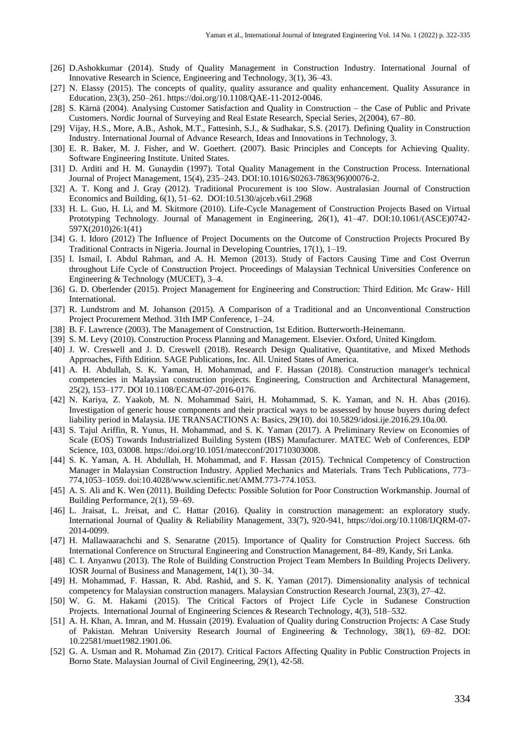- [26] D.Ashokkumar (2014). Study of Quality Management in Construction Industry. International Journal of Innovative Research in Science, Engineering and Technology, 3(1), 36–43.
- [27] N. Elassy (2015). The concepts of quality, quality assurance and quality enhancement. Quality Assurance in Education, 23(3), 250–261. https://doi.org/10.1108/QAE-11-2012-0046.
- [28] S. Kärnä (2004). Analysing Customer Satisfaction and Quality in Construction the Case of Public and Private Customers. Nordic Journal of Surveying and Real Estate Research, Special Series, 2(2004), 67–80.
- [29] Vijay, H.S., More, A.B., Ashok, M.T., Fattesinh, S.J., & Sudhakar, S.S. (2017). Defining Quality in Construction Industry. International Journal of Advance Research, Ideas and Innovations in Technology, 3.
- [30] E. R. Baker, M. J. Fisher, and W. Goethert. (2007). Basic Principles and Concepts for Achieving Quality. Software Engineering Institute. United States.
- [31] D. Arditi and H. M. Gunaydin (1997). Total Quality Management in the Construction Process. International Journal of Project Management, 15(4), 235–243. DOI:10.1016/S0263-7863(96)00076-2.
- [32] A. T. Kong and J. Gray (2012). Traditional Procurement is too Slow. Australasian Journal of Construction Economics and Building, 6(1), 51–62. DOI:10.5130/ajceb.v6i1.2968
- [33] H. L. Guo, H. Li, and M. Skitmore (2010). Life-Cycle Management of Construction Projects Based on Virtual Prototyping Technology. Journal of Management in Engineering, 26(1), 41–47. DOI:10.1061/(ASCE)0742-597X(2010)26:1(41)
- [34] G. I. Idoro (2012) The Influence of Project Documents on the Outcome of Construction Projects Procured By Traditional Contracts in Nigeria. Journal in Developing Countries, 17(1), 1–19.
- [35] I. Ismail, I. Abdul Rahman, and A. H. Memon (2013). Study of Factors Causing Time and Cost Overrun throughout Life Cycle of Construction Project. Proceedings of Malaysian Technical Universities Conference on Engineering & Technology (MUCET), 3–4.
- [36] G. D. Oberlender (2015). Project Management for Engineering and Construction: Third Edition. Mc Graw- Hill International.
- [37] R. Lundstrom and M. Johanson (2015). A Comparison of a Traditional and an Unconventional Construction Project Procurement Method. 31th IMP Conference, 1–24.
- [38] B. F. Lawrence (2003). The Management of Construction, 1st Edition. Butterworth-Heinemann.
- [39] S. M. Levy (2010). Construction Process Planning and Management. Elsevier. Oxford, United Kingdom.
- [40] J. W. Creswell and J. D. Creswell (2018). Research Design Qualitative, Quantitative, and Mixed Methods Approaches, Fifth Edition. SAGE Publications, Inc. All. United States of America.
- [41] A. H. Abdullah, S. K. Yaman, H. Mohammad, and F. Hassan (2018). Construction manager's technical competencies in Malaysian construction projects. Engineering, Construction and Architectural Management, 25(2), 153–177. DOI 10.1108/ECAM-07-2016-0176.
- [42] N. Kariya, Z. Yaakob, M. N. Mohammad Sairi, H. Mohammad, S. K. Yaman, and N. H. Abas (2016). Investigation of generic house components and their practical ways to be assessed by house buyers during defect liability period in Malaysia. IJE TRANSACTIONS A: Basics, 29(10). doi 10.5829/idosi.ije.2016.29.10a.00.
- [43] S. Tajul Ariffin, R. Yunus, H. Mohammad, and S. K. Yaman (2017). A Preliminary Review on Economies of Scale (EOS) Towards Industrialized Building System (IBS) Manufacturer. MATEC Web of Conferences, EDP Science, 103, 03008. https://doi.org/10.1051/matecconf/201710303008.
- [44] S. K. Yaman, A. H. Abdullah, H. Mohammad, and F. Hassan (2015). Technical Competency of Construction Manager in Malaysian Construction Industry. Applied Mechanics and Materials. Trans Tech Publications, 773– 774,1053–1059. doi:10.4028/www.scientific.net/AMM.773-774.1053.
- [45] A. S. Ali and K. Wen (2011). Building Defects: Possible Solution for Poor Construction Workmanship. Journal of Building Performance, 2(1), 59–69.
- [46] L. Jraisat, L. Jreisat, and C. Hattar (2016). Quality in construction management: an exploratory study. International Journal of Quality & Reliability Management, 33(7), 920-941, https://doi.org/10.1108/IJQRM-07- 2014-0099.
- [47] H. Mallawaarachchi and S. Senaratne (2015). Importance of Quality for Construction Project Success. 6th International Conference on Structural Engineering and Construction Management, 84–89, Kandy, Sri Lanka.
- [48] C. I. Anyanwu (2013). The Role of Building Construction Project Team Members In Building Projects Delivery. IOSR Journal of Business and Management, 14(1), 30–34.
- [49] H. Mohammad, F. Hassan, R. Abd. Rashid, and S. K. Yaman (2017). Dimensionality analysis of technical competency for Malaysian construction managers. Malaysian Construction Research Journal, 23(3), 27–42.
- [50] W. G. M. Hakami (2015). The Critical Factors of Project Life Cycle in Sudanese Construction Projects. International Journal of Engineering Sciences & Research Technology, 4(3), 518–532.
- [51] A. H. Khan, A. Imran, and M. Hussain (2019). Evaluation of Quality during Construction Projects: A Case Study of Pakistan. Mehran University Research Journal of Engineering & Technology, 38(1), 69–82. DOI: 10.22581/muet1982.1901.06.
- [52] G. A. Usman and R. Mohamad Zin (2017). Critical Factors Affecting Quality in Public Construction Projects in Borno State. Malaysian Journal of Civil Engineering, 29(1), 42-58.